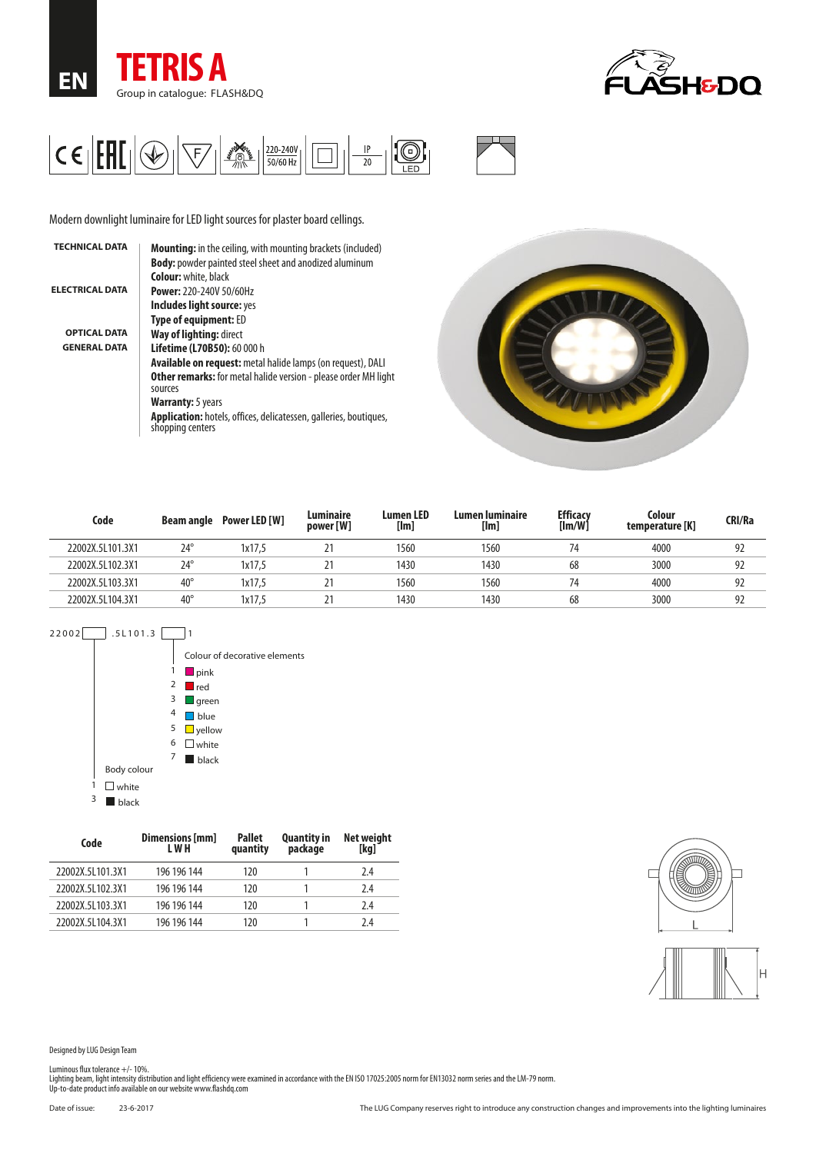





Modern downlight luminaire for LED light sources for plaster board cellings.

| <b>TECHNICAL DATA</b>  | Mounting: in the ceiling, with mounting brackets (included)                                  |
|------------------------|----------------------------------------------------------------------------------------------|
|                        | <b>Body:</b> powder painted steel sheet and anodized aluminum                                |
|                        | <b>Colour:</b> white, black                                                                  |
| <b>ELECTRICAL DATA</b> | <b>Power: 220-240V 50/60Hz</b>                                                               |
|                        | Includes light source: yes                                                                   |
|                        | <b>Type of equipment: ED</b>                                                                 |
| <b>OPTICAL DATA</b>    | Way of lighting: direct                                                                      |
| <b>GENERAL DATA</b>    | Lifetime (L70B50): 60 000 h                                                                  |
|                        | <b>Available on request:</b> metal halide lamps (on request), DALI                           |
|                        | <b>Other remarks:</b> for metal halide version - please order MH light<br>sources            |
|                        | <b>Warranty:</b> 5 years                                                                     |
|                        | <b>Application:</b> hotels, offices, delicatessen, galleries, boutiques,<br>shopping centers |



| Code             | Beam angle   | Power LED [W] | Luminaire<br>power [W] | <b>Lumen LED</b><br>[Im] | Lumen luminaire<br>[Im] | <b>Efficacy</b><br>$[{\sf Im}/{\sf W}]$ | Colour<br>temperature [K] | CRI/Ra |
|------------------|--------------|---------------|------------------------|--------------------------|-------------------------|-----------------------------------------|---------------------------|--------|
| 22002X.5L101.3X1 | $24^\circ$   | 1x17.5        | <u>.</u>               | 1560                     | 1560                    |                                         | 4000                      | 92     |
| 22002X.5L102.3X1 | $24^{\circ}$ | 1x17.5        | <u>~</u>               | 1430                     | 1430                    | 68                                      | 3000                      | 92     |
| 22002X.5L103.3X1 | $40^{\circ}$ | 1x17.5        | ▵                      | 1560                     | 1560                    | 74                                      | 4000                      | 92     |
| 22002X.5L104.3X1 | $40^{\circ}$ | 1x17.5        |                        | 1430                     | 1430                    | 68                                      | 3000                      | 92     |



| Code             | Dimensions [mm]<br>L W H | <b>Pallet</b><br>quantity | <b>Quantity in</b><br>package | Net weight<br>[kg] |
|------------------|--------------------------|---------------------------|-------------------------------|--------------------|
| 22002X.5L101.3X1 | 196 196 144              | 120                       |                               | 7.4                |
| 22002X.5L102.3X1 | 196 196 144              | 120                       |                               | 7.4                |
| 22002X.5L103.3X1 | 196 196 144              | 120                       |                               | 7.4                |
| 22002X.5L104.3X1 | 196 196 144              | 120                       |                               | 7.4                |



Designed by LUG Design Team

Luminous flux tolerance +/- 10%.<br>Lighting beam, light intensity distribution and light efficiency were examined in accordance with the EN ISO 17025:2005 norm for EN13032 norm series and the LM-79 norm.<br>Up-to-date product i